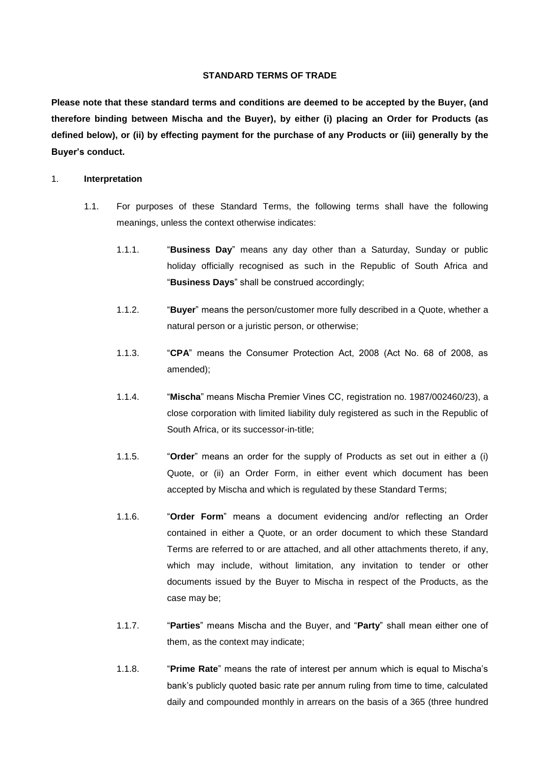#### **STANDARD TERMS OF TRADE**

**Please note that these standard terms and conditions are deemed to be accepted by the Buyer, (and therefore binding between Mischa and the Buyer), by either (i) placing an Order for Products (as defined below), or (ii) by effecting payment for the purchase of any Products or (iii) generally by the Buyer's conduct.**

#### 1. **Interpretation**

- 1.1. For purposes of these Standard Terms, the following terms shall have the following meanings, unless the context otherwise indicates:
	- 1.1.1. "**Business Day**" means any day other than a Saturday, Sunday or public holiday officially recognised as such in the Republic of South Africa and "**Business Days**" shall be construed accordingly;
	- 1.1.2. "**Buyer**" means the person/customer more fully described in a Quote, whether a natural person or a juristic person, or otherwise;
	- 1.1.3. "**CPA**" means the Consumer Protection Act, 2008 (Act No. 68 of 2008, as amended);
	- 1.1.4. "**Mischa**" means Mischa Premier Vines CC, registration no. 1987/002460/23), a close corporation with limited liability duly registered as such in the Republic of South Africa, or its successor-in-title;
	- 1.1.5. "**Order**" means an order for the supply of Products as set out in either a (i) Quote, or (ii) an Order Form, in either event which document has been accepted by Mischa and which is regulated by these Standard Terms;
	- 1.1.6. "**Order Form**" means a document evidencing and/or reflecting an Order contained in either a Quote, or an order document to which these Standard Terms are referred to or are attached, and all other attachments thereto, if any, which may include, without limitation, any invitation to tender or other documents issued by the Buyer to Mischa in respect of the Products, as the case may be;
	- 1.1.7. "**Parties**" means Mischa and the Buyer, and "**Party**" shall mean either one of them, as the context may indicate;
	- 1.1.8. "**Prime Rate**" means the rate of interest per annum which is equal to Mischa's bank's publicly quoted basic rate per annum ruling from time to time, calculated daily and compounded monthly in arrears on the basis of a 365 (three hundred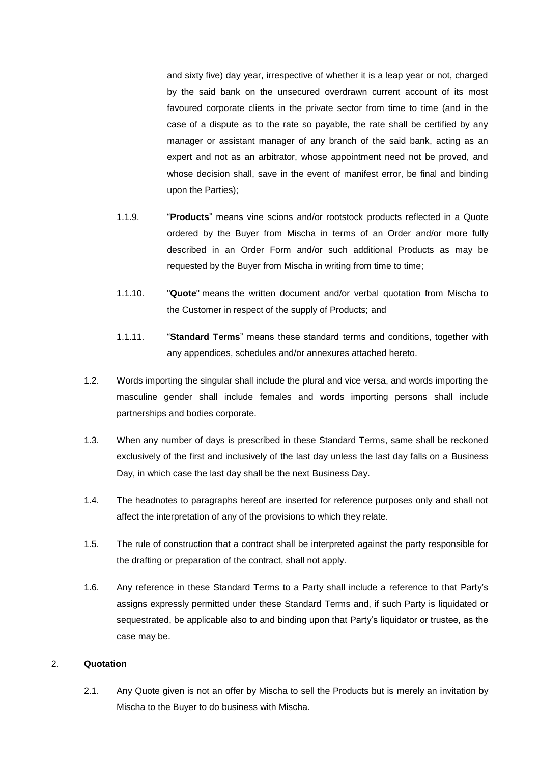and sixty five) day year, irrespective of whether it is a leap year or not, charged by the said bank on the unsecured overdrawn current account of its most favoured corporate clients in the private sector from time to time (and in the case of a dispute as to the rate so payable, the rate shall be certified by any manager or assistant manager of any branch of the said bank, acting as an expert and not as an arbitrator, whose appointment need not be proved, and whose decision shall, save in the event of manifest error, be final and binding upon the Parties);

- 1.1.9. "**Products**" means vine scions and/or rootstock products reflected in a Quote ordered by the Buyer from Mischa in terms of an Order and/or more fully described in an Order Form and/or such additional Products as may be requested by the Buyer from Mischa in writing from time to time;
- 1.1.10. "**Quote**" means the written document and/or verbal quotation from Mischa to the Customer in respect of the supply of Products; and
- 1.1.11. "**Standard Terms**" means these standard terms and conditions, together with any appendices, schedules and/or annexures attached hereto.
- 1.2. Words importing the singular shall include the plural and vice versa, and words importing the masculine gender shall include females and words importing persons shall include partnerships and bodies corporate.
- 1.3. When any number of days is prescribed in these Standard Terms, same shall be reckoned exclusively of the first and inclusively of the last day unless the last day falls on a Business Day, in which case the last day shall be the next Business Day.
- 1.4. The headnotes to paragraphs hereof are inserted for reference purposes only and shall not affect the interpretation of any of the provisions to which they relate.
- 1.5. The rule of construction that a contract shall be interpreted against the party responsible for the drafting or preparation of the contract, shall not apply.
- 1.6. Any reference in these Standard Terms to a Party shall include a reference to that Party's assigns expressly permitted under these Standard Terms and, if such Party is liquidated or sequestrated, be applicable also to and binding upon that Party's liquidator or trustee, as the case may be.

# 2. **Quotation**

2.1. Any Quote given is not an offer by Mischa to sell the Products but is merely an invitation by Mischa to the Buyer to do business with Mischa.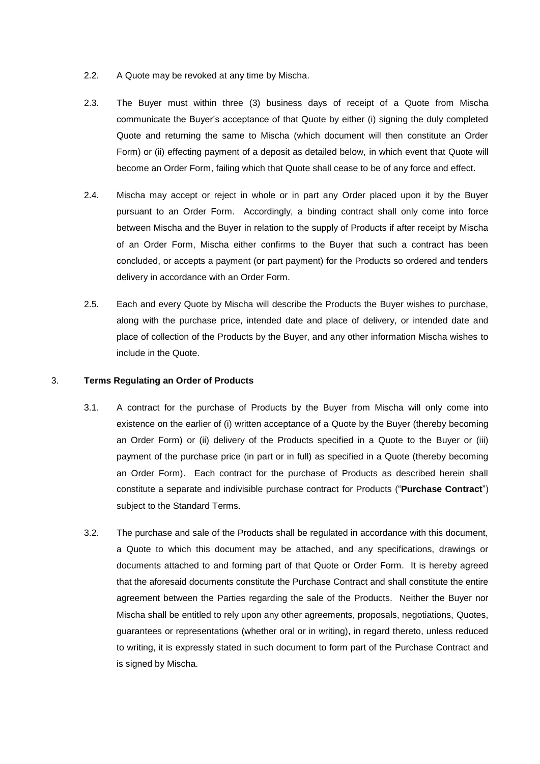- 2.2. A Quote may be revoked at any time by Mischa.
- 2.3. The Buyer must within three (3) business days of receipt of a Quote from Mischa communicate the Buyer's acceptance of that Quote by either (i) signing the duly completed Quote and returning the same to Mischa (which document will then constitute an Order Form) or (ii) effecting payment of a deposit as detailed below, in which event that Quote will become an Order Form, failing which that Quote shall cease to be of any force and effect.
- 2.4. Mischa may accept or reject in whole or in part any Order placed upon it by the Buyer pursuant to an Order Form. Accordingly, a binding contract shall only come into force between Mischa and the Buyer in relation to the supply of Products if after receipt by Mischa of an Order Form, Mischa either confirms to the Buyer that such a contract has been concluded, or accepts a payment (or part payment) for the Products so ordered and tenders delivery in accordance with an Order Form.
- 2.5. Each and every Quote by Mischa will describe the Products the Buyer wishes to purchase, along with the purchase price, intended date and place of delivery, or intended date and place of collection of the Products by the Buyer, and any other information Mischa wishes to include in the Quote.

#### <span id="page-2-2"></span><span id="page-2-0"></span>3. **Terms Regulating an Order of Products**

- 3.1. A contract for the purchase of Products by the Buyer from Mischa will only come into existence on the earlier of (i) written acceptance of a Quote by the Buyer (thereby becoming an Order Form) or (ii) delivery of the Products specified in a Quote to the Buyer or (iii) payment of the purchase price (in part or in full) as specified in a Quote (thereby becoming an Order Form). Each contract for the purchase of Products as described herein shall constitute a separate and indivisible purchase contract for Products ("**Purchase Contract**") subject to the Standard Terms.
- <span id="page-2-1"></span>3.2. The purchase and sale of the Products shall be regulated in accordance with this document, a Quote to which this document may be attached, and any specifications, drawings or documents attached to and forming part of that Quote or Order Form. It is hereby agreed that the aforesaid documents constitute the Purchase Contract and shall constitute the entire agreement between the Parties regarding the sale of the Products. Neither the Buyer nor Mischa shall be entitled to rely upon any other agreements, proposals, negotiations, Quotes, guarantees or representations (whether oral or in writing), in regard thereto, unless reduced to writing, it is expressly stated in such document to form part of the Purchase Contract and is signed by Mischa.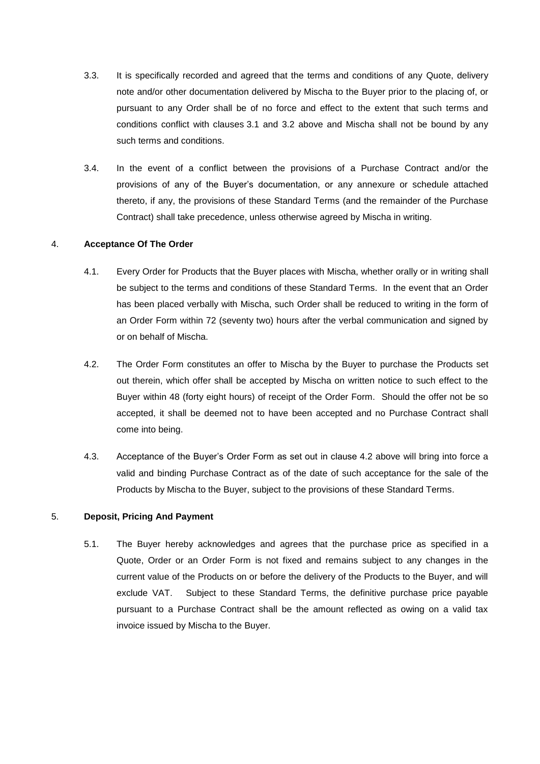- 3.3. It is specifically recorded and agreed that the terms and conditions of any Quote, delivery note and/or other documentation delivered by Mischa to the Buyer prior to the placing of, or pursuant to any Order shall be of no force and effect to the extent that such terms and conditions conflict with clauses [3.1](#page-2-0) and [3.2 above](#page-2-1) and Mischa shall not be bound by any such terms and conditions.
- 3.4. In the event of a conflict between the provisions of a Purchase Contract and/or the provisions of any of the Buyer's documentation, or any annexure or schedule attached thereto, if any, the provisions of these Standard Terms (and the remainder of the Purchase Contract) shall take precedence, unless otherwise agreed by Mischa in writing.

# <span id="page-3-2"></span>4. **Acceptance Of The Order**

- 4.1. Every Order for Products that the Buyer places with Mischa, whether orally or in writing shall be subject to the terms and conditions of these Standard Terms. In the event that an Order has been placed verbally with Mischa, such Order shall be reduced to writing in the form of an Order Form within 72 (seventy two) hours after the verbal communication and signed by or on behalf of Mischa.
- <span id="page-3-0"></span>4.2. The Order Form constitutes an offer to Mischa by the Buyer to purchase the Products set out therein, which offer shall be accepted by Mischa on written notice to such effect to the Buyer within 48 (forty eight hours) of receipt of the Order Form. Should the offer not be so accepted, it shall be deemed not to have been accepted and no Purchase Contract shall come into being.
- 4.3. Acceptance of the Buyer's Order Form as set out in clause [4.2](#page-3-0) above will bring into force a valid and binding Purchase Contract as of the date of such acceptance for the sale of the Products by Mischa to the Buyer, subject to the provisions of these Standard Terms.

#### <span id="page-3-1"></span>5. **Deposit, Pricing And Payment**

5.1. The Buyer hereby acknowledges and agrees that the purchase price as specified in a Quote, Order or an Order Form is not fixed and remains subject to any changes in the current value of the Products on or before the delivery of the Products to the Buyer, and will exclude VAT. Subject to these Standard Terms, the definitive purchase price payable pursuant to a Purchase Contract shall be the amount reflected as owing on a valid tax invoice issued by Mischa to the Buyer.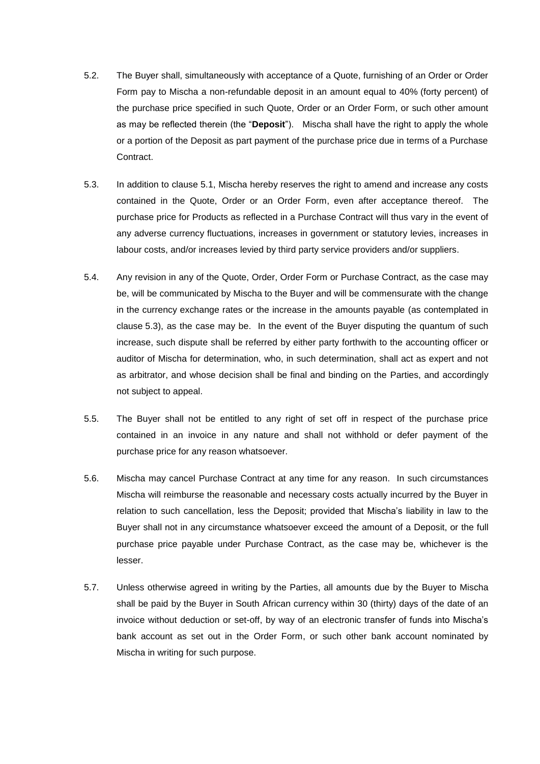- 5.2. The Buyer shall, simultaneously with acceptance of a Quote, furnishing of an Order or Order Form pay to Mischa a non-refundable deposit in an amount equal to 40% (forty percent) of the purchase price specified in such Quote, Order or an Order Form, or such other amount as may be reflected therein (the "**Deposit**"). Mischa shall have the right to apply the whole or a portion of the Deposit as part payment of the purchase price due in terms of a Purchase Contract.
- <span id="page-4-0"></span>5.3. In addition to clause [5.1,](#page-3-1) Mischa hereby reserves the right to amend and increase any costs contained in the Quote, Order or an Order Form, even after acceptance thereof. The purchase price for Products as reflected in a Purchase Contract will thus vary in the event of any adverse currency fluctuations, increases in government or statutory levies, increases in labour costs, and/or increases levied by third party service providers and/or suppliers.
- 5.4. Any revision in any of the Quote, Order, Order Form or Purchase Contract, as the case may be, will be communicated by Mischa to the Buyer and will be commensurate with the change in the currency exchange rates or the increase in the amounts payable (as contemplated in clause [5.3\)](#page-4-0), as the case may be. In the event of the Buyer disputing the quantum of such increase, such dispute shall be referred by either party forthwith to the accounting officer or auditor of Mischa for determination, who, in such determination, shall act as expert and not as arbitrator, and whose decision shall be final and binding on the Parties, and accordingly not subject to appeal.
- 5.5. The Buyer shall not be entitled to any right of set off in respect of the purchase price contained in an invoice in any nature and shall not withhold or defer payment of the purchase price for any reason whatsoever.
- 5.6. Mischa may cancel Purchase Contract at any time for any reason. In such circumstances Mischa will reimburse the reasonable and necessary costs actually incurred by the Buyer in relation to such cancellation, less the Deposit; provided that Mischa's liability in law to the Buyer shall not in any circumstance whatsoever exceed the amount of a Deposit, or the full purchase price payable under Purchase Contract, as the case may be, whichever is the lesser.
- 5.7. Unless otherwise agreed in writing by the Parties, all amounts due by the Buyer to Mischa shall be paid by the Buyer in South African currency within 30 (thirty) days of the date of an invoice without deduction or set-off, by way of an electronic transfer of funds into Mischa's bank account as set out in the Order Form, or such other bank account nominated by Mischa in writing for such purpose.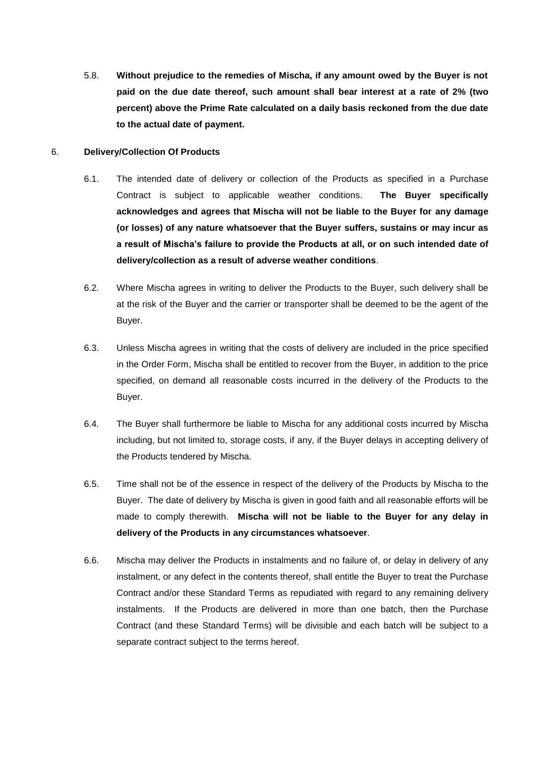5.8. **Without prejudice to the remedies of Mischa, if any amount owed by the Buyer is not paid on the due date thereof, such amount shall bear interest at a rate of 2% (two percent) above the Prime Rate calculated on a daily basis reckoned from the due date to the actual date of payment.**

## <span id="page-5-0"></span>6. **Delivery/Collection Of Products**

- 6.1. The intended date of delivery or collection of the Products as specified in a Purchase Contract is subject to applicable weather conditions. **The Buyer specifically acknowledges and agrees that Mischa will not be liable to the Buyer for any damage (or losses) of any nature whatsoever that the Buyer suffers, sustains or may incur as a result of Mischa's failure to provide the Products at all, or on such intended date of delivery/collection as a result of adverse weather conditions**.
- 6.2. Where Mischa agrees in writing to deliver the Products to the Buyer, such delivery shall be at the risk of the Buyer and the carrier or transporter shall be deemed to be the agent of the Buyer.
- 6.3. Unless Mischa agrees in writing that the costs of delivery are included in the price specified in the Order Form, Mischa shall be entitled to recover from the Buyer, in addition to the price specified, on demand all reasonable costs incurred in the delivery of the Products to the Buyer.
- 6.4. The Buyer shall furthermore be liable to Mischa for any additional costs incurred by Mischa including, but not limited to, storage costs, if any, if the Buyer delays in accepting delivery of the Products tendered by Mischa.
- 6.5. Time shall not be of the essence in respect of the delivery of the Products by Mischa to the Buyer. The date of delivery by Mischa is given in good faith and all reasonable efforts will be made to comply therewith. **Mischa will not be liable to the Buyer for any delay in delivery of the Products in any circumstances whatsoever**.
- 6.6. Mischa may deliver the Products in instalments and no failure of, or delay in delivery of any instalment, or any defect in the contents thereof, shall entitle the Buyer to treat the Purchase Contract and/or these Standard Terms as repudiated with regard to any remaining delivery instalments. If the Products are delivered in more than one batch, then the Purchase Contract (and these Standard Terms) will be divisible and each batch will be subject to a separate contract subject to the terms hereof.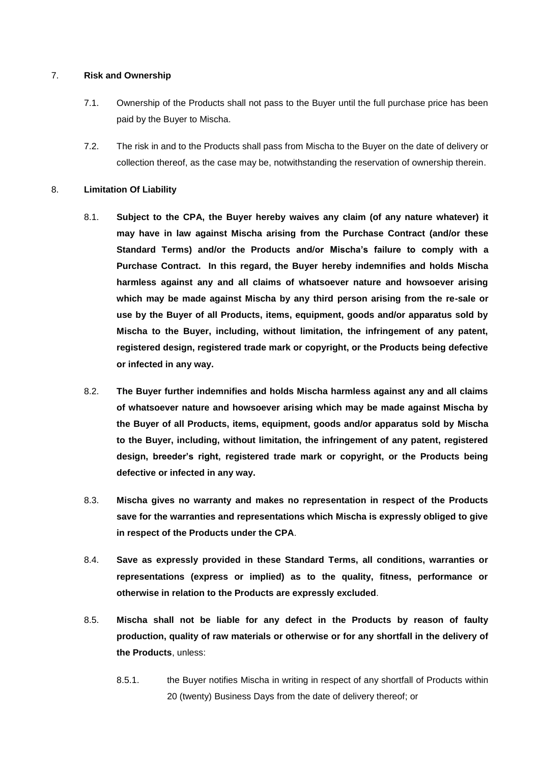## <span id="page-6-1"></span>7. **Risk and Ownership**

- 7.1. Ownership of the Products shall not pass to the Buyer until the full purchase price has been paid by the Buyer to Mischa.
- 7.2. The risk in and to the Products shall pass from Mischa to the Buyer on the date of delivery or collection thereof, as the case may be, notwithstanding the reservation of ownership therein.

# <span id="page-6-2"></span>8. **Limitation Of Liability**

- 8.1. **Subject to the CPA, the Buyer hereby waives any claim (of any nature whatever) it may have in law against Mischa arising from the Purchase Contract (and/or these Standard Terms) and/or the Products and/or Mischa's failure to comply with a Purchase Contract. In this regard, the Buyer hereby indemnifies and holds Mischa harmless against any and all claims of whatsoever nature and howsoever arising which may be made against Mischa by any third person arising from the re-sale or use by the Buyer of all Products, items, equipment, goods and/or apparatus sold by Mischa to the Buyer, including, without limitation, the infringement of any patent, registered design, registered trade mark or copyright, or the Products being defective or infected in any way.**
- 8.2. **The Buyer further indemnifies and holds Mischa harmless against any and all claims of whatsoever nature and howsoever arising which may be made against Mischa by the Buyer of all Products, items, equipment, goods and/or apparatus sold by Mischa to the Buyer, including, without limitation, the infringement of any patent, registered design, breeder's right, registered trade mark or copyright, or the Products being defective or infected in any way.**
- 8.3. **Mischa gives no warranty and makes no representation in respect of the Products save for the warranties and representations which Mischa is expressly obliged to give in respect of the Products under the CPA**.
- 8.4. **Save as expressly provided in these Standard Terms, all conditions, warranties or representations (express or implied) as to the quality, fitness, performance or otherwise in relation to the Products are expressly excluded**.
- <span id="page-6-0"></span>8.5. **Mischa shall not be liable for any defect in the Products by reason of faulty production, quality of raw materials or otherwise or for any shortfall in the delivery of the Products**, unless:
	- 8.5.1. the Buyer notifies Mischa in writing in respect of any shortfall of Products within 20 (twenty) Business Days from the date of delivery thereof; or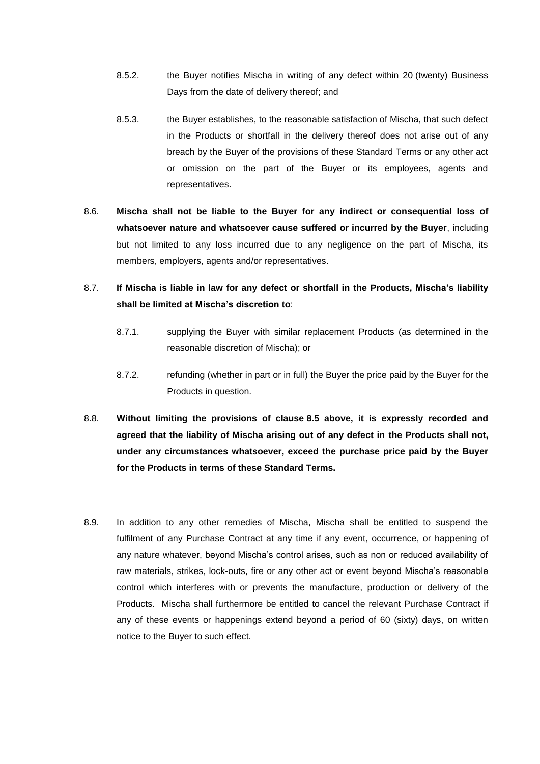- 8.5.2. the Buyer notifies Mischa in writing of any defect within 20 (twenty) Business Days from the date of delivery thereof; and
- 8.5.3. the Buyer establishes, to the reasonable satisfaction of Mischa, that such defect in the Products or shortfall in the delivery thereof does not arise out of any breach by the Buyer of the provisions of these Standard Terms or any other act or omission on the part of the Buyer or its employees, agents and representatives.
- 8.6. **Mischa shall not be liable to the Buyer for any indirect or consequential loss of whatsoever nature and whatsoever cause suffered or incurred by the Buyer**, including but not limited to any loss incurred due to any negligence on the part of Mischa, its members, employers, agents and/or representatives.
- 8.7. **If Mischa is liable in law for any defect or shortfall in the Products, Mischa's liability shall be limited at Mischa's discretion to**:
	- 8.7.1. supplying the Buyer with similar replacement Products (as determined in the reasonable discretion of Mischa); or
	- 8.7.2. refunding (whether in part or in full) the Buyer the price paid by the Buyer for the Products in question.
- 8.8. **Without limiting the provisions of clause [8.5 above,](#page-6-0) it is expressly recorded and agreed that the liability of Mischa arising out of any defect in the Products shall not, under any circumstances whatsoever, exceed the purchase price paid by the Buyer for the Products in terms of these Standard Terms.**
- 8.9. In addition to any other remedies of Mischa, Mischa shall be entitled to suspend the fulfilment of any Purchase Contract at any time if any event, occurrence, or happening of any nature whatever, beyond Mischa's control arises, such as non or reduced availability of raw materials, strikes, lock-outs, fire or any other act or event beyond Mischa's reasonable control which interferes with or prevents the manufacture, production or delivery of the Products. Mischa shall furthermore be entitled to cancel the relevant Purchase Contract if any of these events or happenings extend beyond a period of 60 (sixty) days, on written notice to the Buyer to such effect.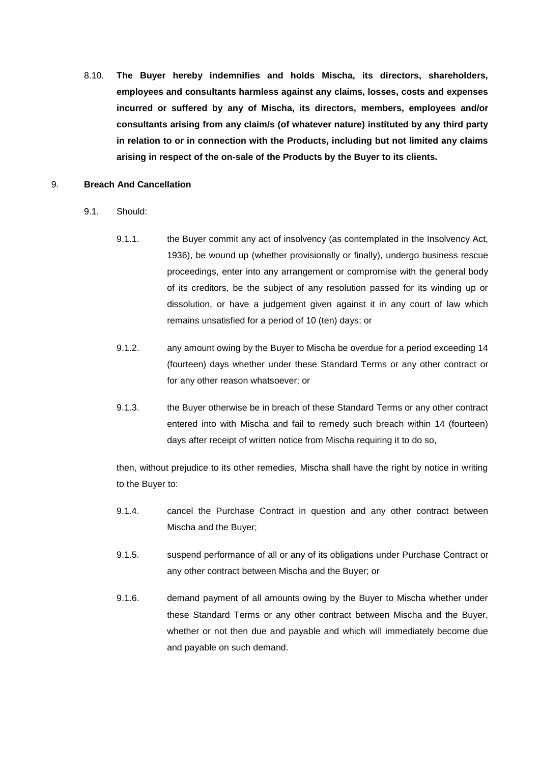8.10. **The Buyer hereby indemnifies and holds Mischa, its directors, shareholders, employees and consultants harmless against any claims, losses, costs and expenses incurred or suffered by any of Mischa, its directors, members, employees and/or consultants arising from any claim/s (of whatever nature) instituted by any third party in relation to or in connection with the Products, including but not limited any claims arising in respect of the on-sale of the Products by the Buyer to its clients.** 

## 9. **Breach And Cancellation**

- 9.1. Should:
	- 9.1.1. the Buyer commit any act of insolvency (as contemplated in the Insolvency Act, 1936), be wound up (whether provisionally or finally), undergo business rescue proceedings, enter into any arrangement or compromise with the general body of its creditors, be the subject of any resolution passed for its winding up or dissolution, or have a judgement given against it in any court of law which remains unsatisfied for a period of 10 (ten) days; or
	- 9.1.2. any amount owing by the Buyer to Mischa be overdue for a period exceeding 14 (fourteen) days whether under these Standard Terms or any other contract or for any other reason whatsoever; or
	- 9.1.3. the Buyer otherwise be in breach of these Standard Terms or any other contract entered into with Mischa and fail to remedy such breach within 14 (fourteen) days after receipt of written notice from Mischa requiring it to do so,

then, without prejudice to its other remedies, Mischa shall have the right by notice in writing to the Buyer to:

- 9.1.4. cancel the Purchase Contract in question and any other contract between Mischa and the Buyer;
- 9.1.5. suspend performance of all or any of its obligations under Purchase Contract or any other contract between Mischa and the Buyer; or
- 9.1.6. demand payment of all amounts owing by the Buyer to Mischa whether under these Standard Terms or any other contract between Mischa and the Buyer, whether or not then due and payable and which will immediately become due and payable on such demand.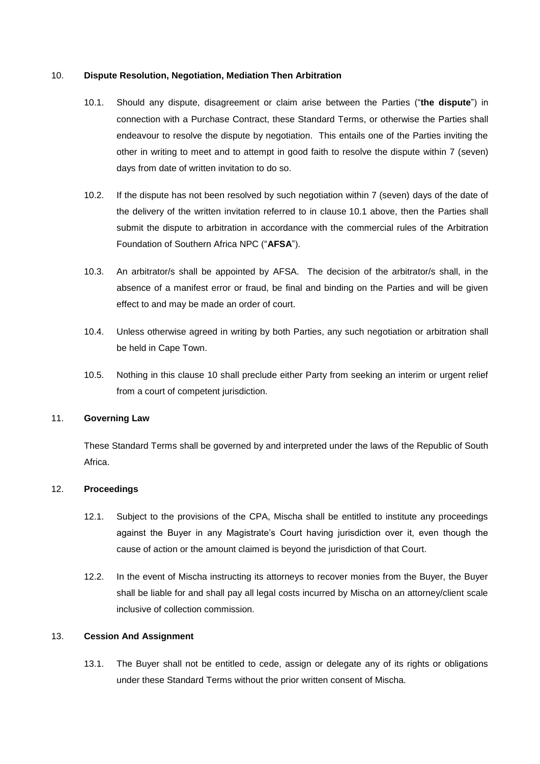## <span id="page-9-1"></span><span id="page-9-0"></span>10. **Dispute Resolution, Negotiation, Mediation Then Arbitration**

- 10.1. Should any dispute, disagreement or claim arise between the Parties ("**the dispute**") in connection with a Purchase Contract, these Standard Terms, or otherwise the Parties shall endeavour to resolve the dispute by negotiation. This entails one of the Parties inviting the other in writing to meet and to attempt in good faith to resolve the dispute within 7 (seven) days from date of written invitation to do so.
- 10.2. If the dispute has not been resolved by such negotiation within 7 (seven) days of the date of the delivery of the written invitation referred to in clause [10.1](#page-9-0) above, then the Parties shall submit the dispute to arbitration in accordance with the commercial rules of the Arbitration Foundation of Southern Africa NPC ("**AFSA**").
- 10.3. An arbitrator/s shall be appointed by AFSA. The decision of the arbitrator/s shall, in the absence of a manifest error or fraud, be final and binding on the Parties and will be given effect to and may be made an order of court.
- 10.4. Unless otherwise agreed in writing by both Parties, any such negotiation or arbitration shall be held in Cape Town.
- 10.5. Nothing in this clause [10](#page-9-1) shall preclude either Party from seeking an interim or urgent relief from a court of competent jurisdiction.

# 11. **Governing Law**

These Standard Terms shall be governed by and interpreted under the laws of the Republic of South Africa.

# 12. **Proceedings**

- 12.1. Subject to the provisions of the CPA, Mischa shall be entitled to institute any proceedings against the Buyer in any Magistrate's Court having jurisdiction over it, even though the cause of action or the amount claimed is beyond the jurisdiction of that Court.
- 12.2. In the event of Mischa instructing its attorneys to recover monies from the Buyer, the Buyer shall be liable for and shall pay all legal costs incurred by Mischa on an attorney/client scale inclusive of collection commission.

# 13. **Cession And Assignment**

13.1. The Buyer shall not be entitled to cede, assign or delegate any of its rights or obligations under these Standard Terms without the prior written consent of Mischa.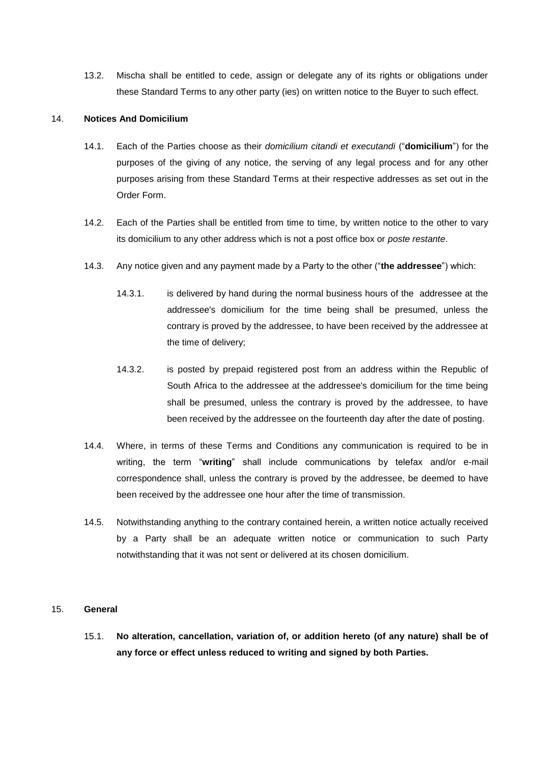13.2. Mischa shall be entitled to cede, assign or delegate any of its rights or obligations under these Standard Terms to any other party (ies) on written notice to the Buyer to such effect.

#### 14. **Notices And Domicilium**

- 14.1. Each of the Parties choose as their *domicilium citandi et executandi* ("**domicilium**") for the purposes of the giving of any notice, the serving of any legal process and for any other purposes arising from these Standard Terms at their respective addresses as set out in the Order Form.
- 14.2. Each of the Parties shall be entitled from time to time, by written notice to the other to vary its domicilium to any other address which is not a post office box or *poste restante*.
- 14.3. Any notice given and any payment made by a Party to the other ("**the addressee**") which:
	- 14.3.1. is delivered by hand during the normal business hours of the addressee at the addressee's domicilium for the time being shall be presumed, unless the contrary is proved by the addressee, to have been received by the addressee at the time of delivery;
	- 14.3.2. is posted by prepaid registered post from an address within the Republic of South Africa to the addressee at the addressee's domicilium for the time being shall be presumed, unless the contrary is proved by the addressee, to have been received by the addressee on the fourteenth day after the date of posting.
- 14.4. Where, in terms of these Terms and Conditions any communication is required to be in writing, the term "**writing**" shall include communications by telefax and/or e-mail correspondence shall, unless the contrary is proved by the addressee, be deemed to have been received by the addressee one hour after the time of transmission.
- 14.5. Notwithstanding anything to the contrary contained herein, a written notice actually received by a Party shall be an adequate written notice or communication to such Party notwithstanding that it was not sent or delivered at its chosen domicilium.

# 15. **General**

15.1. **No alteration, cancellation, variation of, or addition hereto (of any nature) shall be of any force or effect unless reduced to writing and signed by both Parties.**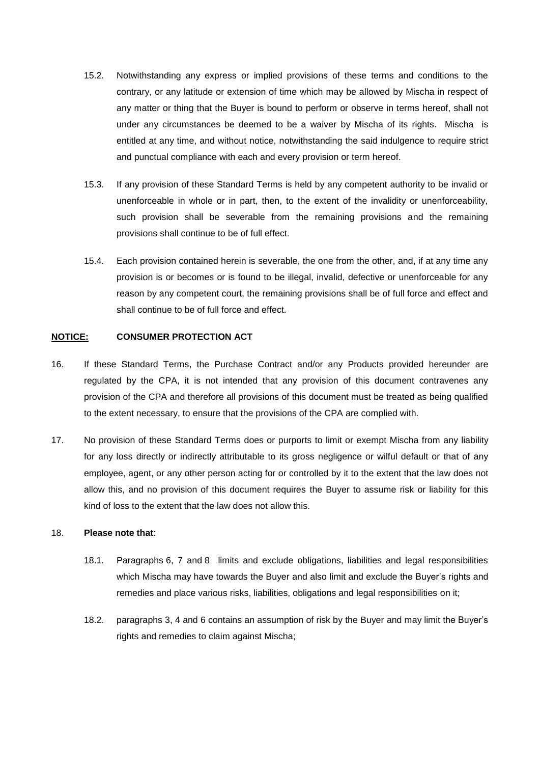- 15.2. Notwithstanding any express or implied provisions of these terms and conditions to the contrary, or any latitude or extension of time which may be allowed by Mischa in respect of any matter or thing that the Buyer is bound to perform or observe in terms hereof, shall not under any circumstances be deemed to be a waiver by Mischa of its rights. Mischa is entitled at any time, and without notice, notwithstanding the said indulgence to require strict and punctual compliance with each and every provision or term hereof.
- 15.3. If any provision of these Standard Terms is held by any competent authority to be invalid or unenforceable in whole or in part, then, to the extent of the invalidity or unenforceability, such provision shall be severable from the remaining provisions and the remaining provisions shall continue to be of full effect.
- 15.4. Each provision contained herein is severable, the one from the other, and, if at any time any provision is or becomes or is found to be illegal, invalid, defective or unenforceable for any reason by any competent court, the remaining provisions shall be of full force and effect and shall continue to be of full force and effect.

# **NOTICE: CONSUMER PROTECTION ACT**

- 16. If these Standard Terms, the Purchase Contract and/or any Products provided hereunder are regulated by the CPA, it is not intended that any provision of this document contravenes any provision of the CPA and therefore all provisions of this document must be treated as being qualified to the extent necessary, to ensure that the provisions of the CPA are complied with.
- 17. No provision of these Standard Terms does or purports to limit or exempt Mischa from any liability for any loss directly or indirectly attributable to its gross negligence or wilful default or that of any employee, agent, or any other person acting for or controlled by it to the extent that the law does not allow this, and no provision of this document requires the Buyer to assume risk or liability for this kind of loss to the extent that the law does not allow this.

## 18. **Please note that**:

- 18.1. Paragraphs [6,](#page-5-0) [7](#page-6-1) and [8](#page-6-2) limits and exclude obligations, liabilities and legal responsibilities which Mischa may have towards the Buyer and also limit and exclude the Buyer's rights and remedies and place various risks, liabilities, obligations and legal responsibilities on it;
- 18.2. paragraphs [3,](#page-2-2) [4](#page-3-2) and [6](#page-5-0) contains an assumption of risk by the Buyer and may limit the Buyer's rights and remedies to claim against Mischa;